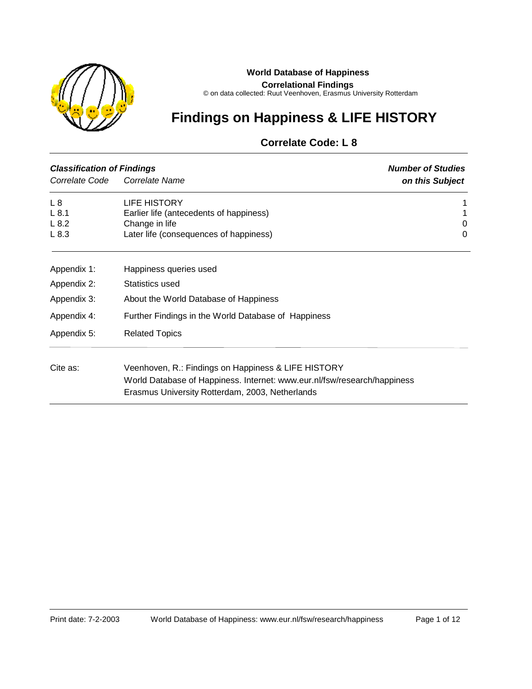

#### **World Database of Happiness**

**Correlational Findings**

© on data collected: Ruut Veenhoven, Erasmus University Rotterdam

# **Findings on Happiness & LIFE HISTORY**

# **Correlate Code: L 8**

| <b>Classification of Findings</b> | <b>Number of Studies</b>                                                 |                 |
|-----------------------------------|--------------------------------------------------------------------------|-----------------|
| Correlate Code                    | Correlate Name                                                           | on this Subject |
| L8                                | LIFE HISTORY                                                             |                 |
| L8.1                              | Earlier life (antecedents of happiness)                                  |                 |
| L8.2                              | Change in life                                                           | 0               |
| L8.3                              | Later life (consequences of happiness)                                   | 0               |
| Appendix 1:                       | Happiness queries used                                                   |                 |
| Appendix 2:                       | Statistics used                                                          |                 |
| Appendix 3:                       | About the World Database of Happiness                                    |                 |
| Appendix 4:                       | Further Findings in the World Database of Happiness                      |                 |
| Appendix 5:                       | <b>Related Topics</b>                                                    |                 |
| Cite as:                          | Veenhoven, R.: Findings on Happiness & LIFE HISTORY                      |                 |
|                                   | World Database of Happiness. Internet: www.eur.nl/fsw/research/happiness |                 |
|                                   | Erasmus University Rotterdam, 2003, Netherlands                          |                 |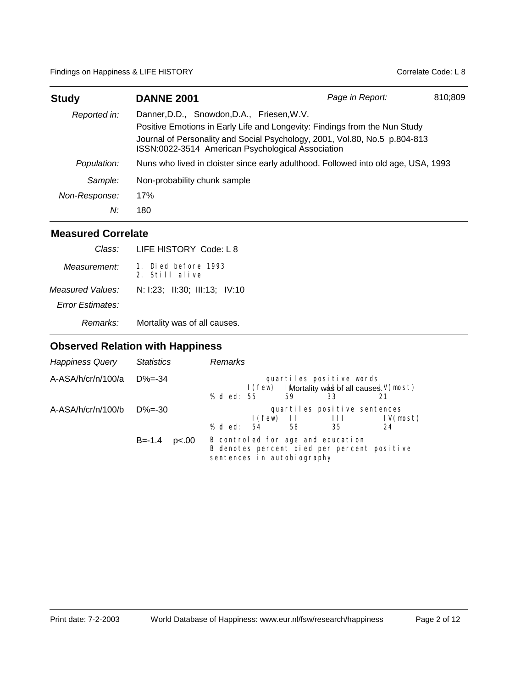Findings on Happiness & LIFE HISTORY **Contract Contract Contract Contract Contract Code:** L 8

| <b>Study</b>  | <b>DANNE 2001</b>                                                                                                                                                                                                                                           | Page in Report: | 810:809 |
|---------------|-------------------------------------------------------------------------------------------------------------------------------------------------------------------------------------------------------------------------------------------------------------|-----------------|---------|
| Reported in:  | Danner, D.D., Snowdon, D.A., Friesen, W.V.<br>Positive Emotions in Early Life and Longevity: Findings from the Nun Study<br>Journal of Personality and Social Psychology, 2001, Vol.80, No.5 p.804-813<br>ISSN:0022-3514 American Psychological Association |                 |         |
| Population:   | Nuns who lived in cloister since early adulthood. Followed into old age, USA, 1993                                                                                                                                                                          |                 |         |
| Sample:       | Non-probability chunk sample                                                                                                                                                                                                                                |                 |         |
| Non-Response: | 17%                                                                                                                                                                                                                                                         |                 |         |
| N:            | 180                                                                                                                                                                                                                                                         |                 |         |

### **Measured Correlate**

| Class:                  | LIFE HISTORY Code: L 8                |
|-------------------------|---------------------------------------|
| Measurement:            | 1. Died before 1993<br>2. Still alive |
| Measured Values:        | N: 1:23; II:30; III:13; IV:10         |
| <b>Error Estimates:</b> |                                       |
| Remarks:                | Mortality was of all causes.          |

# **Observed Relation with Happiness**

| <b>Happiness Query</b>      | <b>Statistics</b>   | Remarks                                                                                                                                 |
|-----------------------------|---------------------|-----------------------------------------------------------------------------------------------------------------------------------------|
| $A-ASA/h/cr/n/100/a$ D%=-34 |                     | quartiles positive words<br>$I(few)$ I Mortality was bet all causes. $V(most)$<br>% died: 55<br>59<br>33                                |
| $A-ASA/h/cr/n/100/b$ D%=-30 |                     | quartiles positive sentences<br>IV(most)<br>$\mathsf{I}(\mathsf{few})$ $\mathsf{II}$ $\mathsf{III}$<br>% died:<br>.54<br>58<br>35<br>24 |
|                             | $B = -1.4$<br>p<.00 | B controled for age and education<br>B denotes percent died per percent positive<br>sentences in autobiography                          |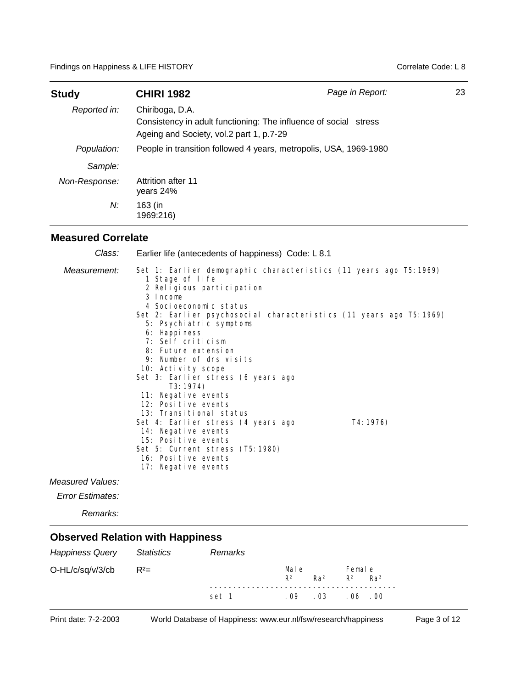| <b>Study</b>  | <b>CHIRI 1982</b>                                                                                                               | Page in Report: | 23 |
|---------------|---------------------------------------------------------------------------------------------------------------------------------|-----------------|----|
| Reported in:  | Chiriboga, D.A.<br>Consistency in adult functioning: The influence of social stress<br>Ageing and Society, vol.2 part 1, p.7-29 |                 |    |
| Population:   | People in transition followed 4 years, metropolis, USA, 1969-1980                                                               |                 |    |
| Sample:       |                                                                                                                                 |                 |    |
| Non-Response: | Attrition after 11<br>years 24%                                                                                                 |                 |    |
| N:            | 163 (in<br>1969:216)                                                                                                            |                 |    |

#### **Measured Correlate**

| Class:           | Earlier life (antecedents of happiness) Code: L 8.1                                                                                                                                                                                                                                                                                                                                                                                                                                                                                                                                                                                  |
|------------------|--------------------------------------------------------------------------------------------------------------------------------------------------------------------------------------------------------------------------------------------------------------------------------------------------------------------------------------------------------------------------------------------------------------------------------------------------------------------------------------------------------------------------------------------------------------------------------------------------------------------------------------|
| Measurement:     | Set 1: Earlier demographic characteristics (11 years ago T5:1969)<br>1 Stage of life<br>2 Religious participation<br>3 Income<br>4 Socioeconomic status<br>Set 2: Earlier psychosocial characteristics (11 years ago T5:1969)<br>5: Psychiatric symptoms<br>6: Happiness<br>7: Self criticism<br>8: Future extension<br>9: Number of drs visits<br>10: Activity scope<br>Set 3: Earlier stress (6 years ago<br>T3: 1974<br>11: Negative events<br>12: Positive events<br>13: Transitional status<br>T4: 1976)<br>Set 4: Earlier stress (4 years ago<br>14: Negative events<br>15: Positive events<br>Set 5: Current stress (T5:1980) |
|                  | 16: Positive events<br>17: Negative events                                                                                                                                                                                                                                                                                                                                                                                                                                                                                                                                                                                           |
| Measured Values: |                                                                                                                                                                                                                                                                                                                                                                                                                                                                                                                                                                                                                                      |

*Error Estimates:*

*Remarks:*

### **Observed Relation with Happiness**

| Happiness Query  | Statistics | Remarks |                |                 |                        |                 |
|------------------|------------|---------|----------------|-----------------|------------------------|-----------------|
| O-HL/c/sq/v/3/cb | $R^2=$     |         | Mal e<br>$R^2$ | Ra <sup>2</sup> | Female<br>$R^2$ $Ra^2$ |                 |
|                  |            | set 1   | . 09           | . 03            | . 06                   | 00 <sub>1</sub> |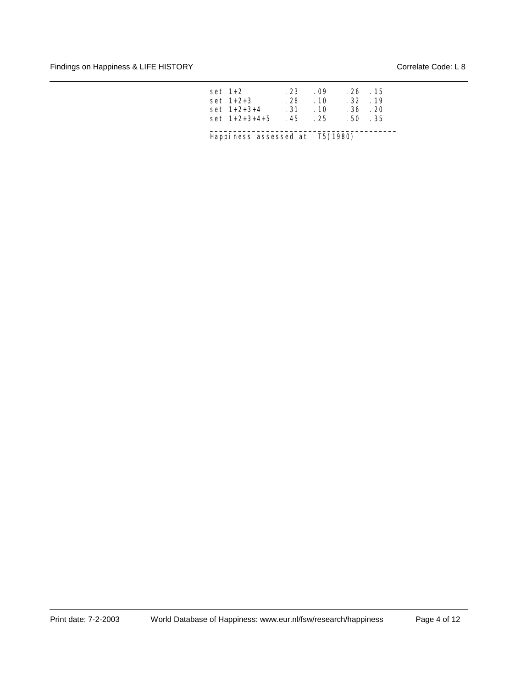| set 1+2         |      | .23.09     | . 26. . 15      |  |
|-----------------|------|------------|-----------------|--|
| set 1+2+3       | . 28 | .10        | $.32 \quad .19$ |  |
| $set 1+2+3+4$   |      | $-31 - 10$ | . 36. . 20      |  |
| $set 1+2+3+4+5$ | 45   | $-25$      | .50.35          |  |

\_\_\_\_\_\_\_\_\_\_\_\_\_\_\_\_\_\_\_\_\_\_\_\_\_\_\_\_\_\_\_\_\_\_\_\_\_\_\_\_

Happiness assessed at T5(1980)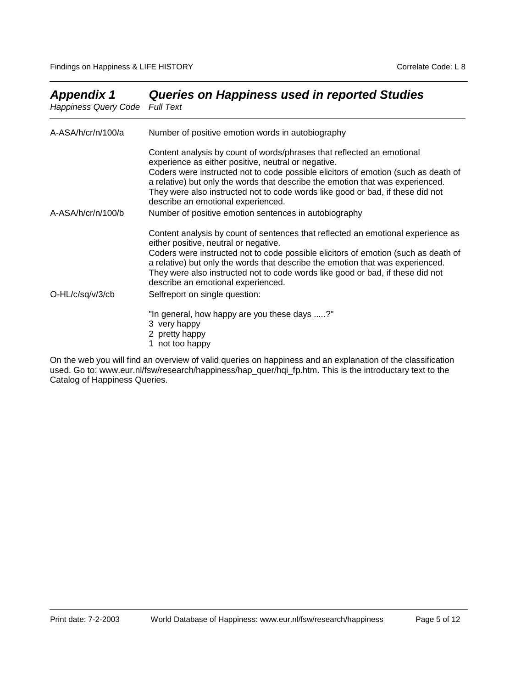| Appviivia i<br>Happiness Query Code Full Text | addito on napphicos asca in reported otaqics                                                                                                                                                                                                                                                                                                                                                                                  |
|-----------------------------------------------|-------------------------------------------------------------------------------------------------------------------------------------------------------------------------------------------------------------------------------------------------------------------------------------------------------------------------------------------------------------------------------------------------------------------------------|
| $A-ASA/h/cr/n/100/a$                          | Number of positive emotion words in autobiography                                                                                                                                                                                                                                                                                                                                                                             |
|                                               | Content analysis by count of words/phrases that reflected an emotional<br>experience as either positive, neutral or negative.<br>Coders were instructed not to code possible elicitors of emotion (such as death of<br>a relative) but only the words that describe the emotion that was experienced.<br>They were also instructed not to code words like good or bad, if these did not<br>describe an emotional experienced. |
| $A-ASA/h/cr/n/100/b$                          | Number of positive emotion sentences in autobiography                                                                                                                                                                                                                                                                                                                                                                         |
|                                               | Content analysis by count of sentences that reflected an emotional experience as<br>either positive, neutral or negative.<br>Coders were instructed not to code possible elicitors of emotion (such as death of<br>a relative) but only the words that describe the emotion that was experienced.<br>They were also instructed not to code words like good or bad, if these did not<br>describe an emotional experienced.     |
| O-HL/c/sq/v/3/cb                              | Selfreport on single question:<br>"In general, how happy are you these days ?"<br>3 very happy<br>2 pretty happy<br>1 not too happy                                                                                                                                                                                                                                                                                           |

# *Appendix 1 Queries on Happiness used in reported Studies*

On the web you will find an overview of valid queries on happiness and an explanation of the classification used. Go to: www.eur.nl/fsw/research/happiness/hap\_quer/hqi\_fp.htm. This is the introductary text to the Catalog of Happiness Queries.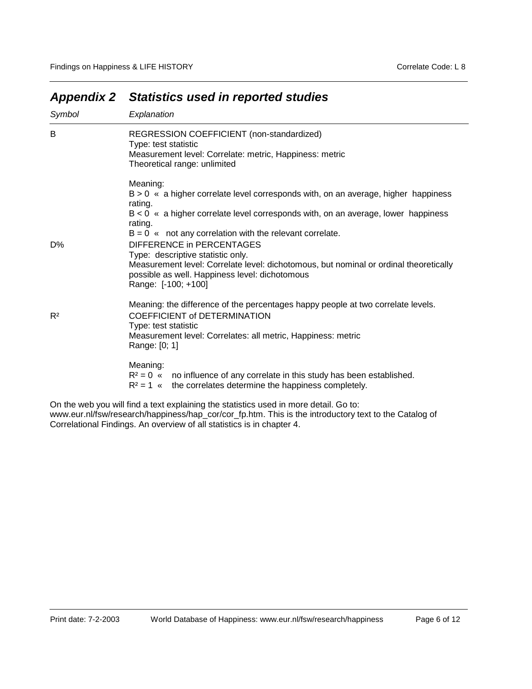| Symbol         | Explanation                                                                                                                                                                                                                                                                                                                                                                                                                                                                                                     |
|----------------|-----------------------------------------------------------------------------------------------------------------------------------------------------------------------------------------------------------------------------------------------------------------------------------------------------------------------------------------------------------------------------------------------------------------------------------------------------------------------------------------------------------------|
| B              | REGRESSION COEFFICIENT (non-standardized)<br>Type: test statistic<br>Measurement level: Correlate: metric, Happiness: metric<br>Theoretical range: unlimited                                                                                                                                                                                                                                                                                                                                                    |
| D%             | Meaning:<br>$B > 0$ « a higher correlate level corresponds with, on an average, higher happiness<br>rating.<br>$B < 0$ « a higher correlate level corresponds with, on an average, lower happiness<br>rating.<br>$B = 0$ « not any correlation with the relevant correlate.<br>DIFFERENCE in PERCENTAGES<br>Type: descriptive statistic only.<br>Measurement level: Correlate level: dichotomous, but nominal or ordinal theoretically<br>possible as well. Happiness level: dichotomous<br>Range: [-100; +100] |
| R <sup>2</sup> | Meaning: the difference of the percentages happy people at two correlate levels.<br><b>COEFFICIENT of DETERMINATION</b><br>Type: test statistic<br>Measurement level: Correlates: all metric, Happiness: metric<br>Range: [0; 1]                                                                                                                                                                                                                                                                                |
|                | Meaning:<br>$R^2 = 0$ « no influence of any correlate in this study has been established.<br>$R^2 = 1$ « the correlates determine the happiness completely.                                                                                                                                                                                                                                                                                                                                                     |
|                | On the web you will find a text explaining the statistics used in more detail. Go to:                                                                                                                                                                                                                                                                                                                                                                                                                           |

# *Appendix 2 Statistics used in reported studies*

On the web you will find a text explaining the statistics used in more detail. Go to: www.eur.nl/fsw/research/happiness/hap\_cor/cor\_fp.htm. This is the introductory text to the Catalog of Correlational Findings. An overview of all statistics is in chapter 4.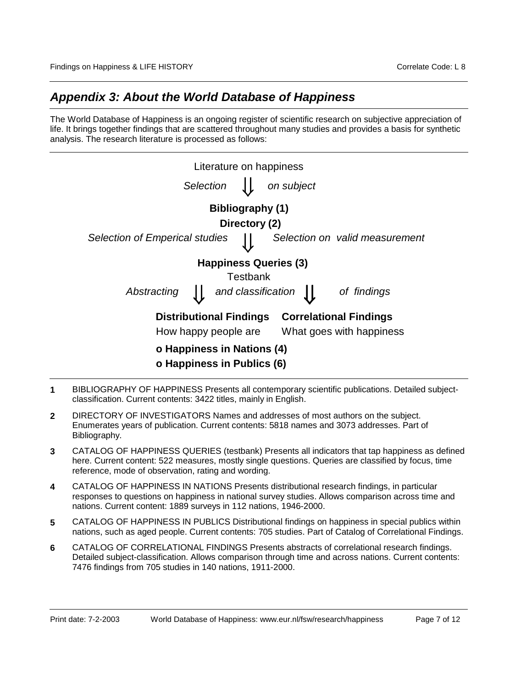### *Appendix 3: About the World Database of Happiness*

The World Database of Happiness is an ongoing register of scientific research on subjective appreciation of life. It brings together findings that are scattered throughout many studies and provides a basis for synthetic analysis. The research literature is processed as follows:

| Literature on happiness                                         |                                          |                              |                                |  |  |
|-----------------------------------------------------------------|------------------------------------------|------------------------------|--------------------------------|--|--|
| Selection                                                       |                                          | on subject                   |                                |  |  |
|                                                                 | Bibliography (1)                         |                              |                                |  |  |
|                                                                 | Directory (2)                            |                              |                                |  |  |
| <b>Selection of Emperical studies</b>                           |                                          |                              | Selection on valid measurement |  |  |
|                                                                 |                                          | <b>Happiness Queries (3)</b> |                                |  |  |
|                                                                 | Testbank                                 |                              |                                |  |  |
| Abstracting                                                     | and classification $\int$<br>of findings |                              |                                |  |  |
| <b>Correlational Findings</b><br><b>Distributional Findings</b> |                                          |                              |                                |  |  |
| How happy people are<br>What goes with happiness                |                                          |                              |                                |  |  |
| o Happiness in Nations (4)                                      |                                          |                              |                                |  |  |
| o Happiness in Publics (6)                                      |                                          |                              |                                |  |  |

- **1** BIBLIOGRAPHY OF HAPPINESS Presents all contemporary scientific publications. Detailed subjectclassification. Current contents: 3422 titles, mainly in English.
- **2** DIRECTORY OF INVESTIGATORS Names and addresses of most authors on the subject. Enumerates years of publication. Current contents: 5818 names and 3073 addresses. Part of Bibliography.
- **3** CATALOG OF HAPPINESS QUERIES (testbank) Presents all indicators that tap happiness as defined here. Current content: 522 measures, mostly single questions. Queries are classified by focus, time reference, mode of observation, rating and wording.
- **4** CATALOG OF HAPPINESS IN NATIONS Presents distributional research findings, in particular responses to questions on happiness in national survey studies. Allows comparison across time and nations. Current content: 1889 surveys in 112 nations, 1946-2000.
- **5** CATALOG OF HAPPINESS IN PUBLICS Distributional findings on happiness in special publics within nations, such as aged people. Current contents: 705 studies. Part of Catalog of Correlational Findings.
- **6** CATALOG OF CORRELATIONAL FINDINGS Presents abstracts of correlational research findings. Detailed subject-classification. Allows comparison through time and across nations. Current contents: 7476 findings from 705 studies in 140 nations, 1911-2000.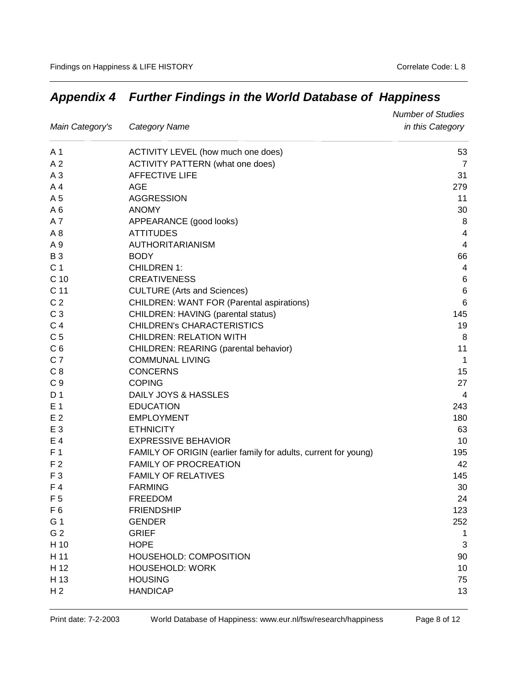|                 |                                                                 | <b>Number of Studies</b> |
|-----------------|-----------------------------------------------------------------|--------------------------|
| Main Category's | <b>Category Name</b>                                            | in this Category         |
| A 1             | ACTIVITY LEVEL (how much one does)                              | 53                       |
| A <sub>2</sub>  | <b>ACTIVITY PATTERN</b> (what one does)                         | $\overline{7}$           |
| A <sub>3</sub>  | <b>AFFECTIVE LIFE</b>                                           | 31                       |
| A <sub>4</sub>  | AGE                                                             | 279                      |
| A 5             | <b>AGGRESSION</b>                                               | 11                       |
| A6              | <b>ANOMY</b>                                                    | 30                       |
| A7              | APPEARANCE (good looks)                                         | 8                        |
| A <sub>8</sub>  | <b>ATTITUDES</b>                                                | 4                        |
| A 9             | AUTHORITARIANISM                                                | 4                        |
| <b>B3</b>       | <b>BODY</b>                                                     | 66                       |
| C <sub>1</sub>  | <b>CHILDREN 1:</b>                                              | 4                        |
| C <sub>10</sub> | <b>CREATIVENESS</b>                                             | 6                        |
| C 11            | <b>CULTURE</b> (Arts and Sciences)                              | $\,6$                    |
| C <sub>2</sub>  | <b>CHILDREN: WANT FOR (Parental aspirations)</b>                | 6                        |
| C <sub>3</sub>  | CHILDREN: HAVING (parental status)                              | 145                      |
| C <sub>4</sub>  | CHILDREN's CHARACTERISTICS                                      | 19                       |
| C <sub>5</sub>  | <b>CHILDREN: RELATION WITH</b>                                  | 8                        |
| C <sub>6</sub>  | CHILDREN: REARING (parental behavior)                           | 11                       |
| C <sub>7</sub>  | <b>COMMUNAL LIVING</b>                                          | $\mathbf{1}$             |
| C <sub>8</sub>  | <b>CONCERNS</b>                                                 | 15                       |
| C <sub>9</sub>  | <b>COPING</b>                                                   | 27                       |
| D <sub>1</sub>  | DAILY JOYS & HASSLES                                            | 4                        |
| E 1             | <b>EDUCATION</b>                                                | 243                      |
| E <sub>2</sub>  | <b>EMPLOYMENT</b>                                               | 180                      |
| E 3             | <b>ETHNICITY</b>                                                | 63                       |
| $E_4$           | <b>EXPRESSIVE BEHAVIOR</b>                                      | 10                       |
| F <sub>1</sub>  | FAMILY OF ORIGIN (earlier family for adults, current for young) | 195                      |
| F <sub>2</sub>  | <b>FAMILY OF PROCREATION</b>                                    | 42                       |
| F <sub>3</sub>  | <b>FAMILY OF RELATIVES</b>                                      | 145                      |
| F4              | <b>FARMING</b>                                                  | 30                       |
| F <sub>5</sub>  | <b>FREEDOM</b>                                                  | 24                       |
| F <sub>6</sub>  | <b>FRIENDSHIP</b>                                               | 123                      |
| G 1             | <b>GENDER</b>                                                   | 252                      |
| G <sub>2</sub>  | <b>GRIEF</b>                                                    | 1                        |
| H 10            | <b>HOPE</b>                                                     | 3                        |
| H 11            | HOUSEHOLD: COMPOSITION                                          | 90                       |
| H 12            | <b>HOUSEHOLD: WORK</b>                                          | 10                       |
| H 13            | <b>HOUSING</b>                                                  | 75                       |
| H <sub>2</sub>  | <b>HANDICAP</b>                                                 | 13                       |

# *Appendix 4 Further Findings in the World Database of Happiness*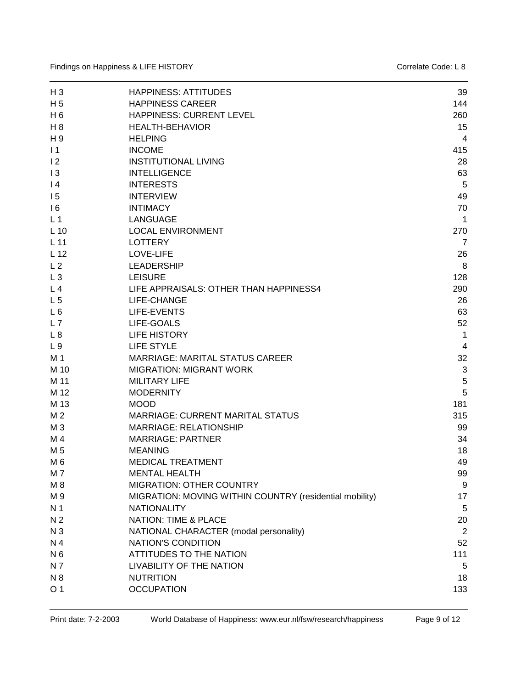| $H_3$           | <b>HAPPINESS: ATTITUDES</b>                             | 39             |
|-----------------|---------------------------------------------------------|----------------|
| H <sub>5</sub>  | <b>HAPPINESS CAREER</b>                                 | 144            |
| $H_6$           | HAPPINESS: CURRENT LEVEL                                | 260            |
| $H_8$           | <b>HEALTH-BEHAVIOR</b>                                  | 15             |
| H 9             | <b>HELPING</b>                                          | 4              |
| $\vert$ 1       | <b>INCOME</b>                                           | 415            |
| 12              | <b>INSTITUTIONAL LIVING</b>                             | 28             |
| 13              | <b>INTELLIGENCE</b>                                     | 63             |
| $\overline{14}$ | <b>INTERESTS</b>                                        | 5              |
| 15              | <b>INTERVIEW</b>                                        | 49             |
| 16              | <b>INTIMACY</b>                                         | 70             |
| L <sub>1</sub>  | <b>LANGUAGE</b>                                         | 1              |
| $L$ 10          | <b>LOCAL ENVIRONMENT</b>                                | 270            |
| L <sub>11</sub> | <b>LOTTERY</b>                                          | $\overline{7}$ |
| L <sub>12</sub> | LOVE-LIFE                                               | 26             |
| L <sub>2</sub>  | <b>LEADERSHIP</b>                                       | 8              |
| $L_3$           | <b>LEISURE</b>                                          | 128            |
| L <sub>4</sub>  | LIFE APPRAISALS: OTHER THAN HAPPINESS4                  | 290            |
| L <sub>5</sub>  | LIFE-CHANGE                                             | 26             |
| L6              | LIFE-EVENTS                                             | 63             |
| L7              | LIFE-GOALS                                              | 52             |
| L8              | <b>LIFE HISTORY</b>                                     | 1              |
| L <sub>9</sub>  | <b>LIFE STYLE</b>                                       | 4              |
| M 1             | <b>MARRIAGE: MARITAL STATUS CAREER</b>                  | 32             |
| M 10            | <b>MIGRATION: MIGRANT WORK</b>                          | 3              |
| M 11            | <b>MILITARY LIFE</b>                                    | 5              |
| M 12            | <b>MODERNITY</b>                                        | 5              |
| M 13            | <b>MOOD</b>                                             | 181            |
| M 2             | <b>MARRIAGE: CURRENT MARITAL STATUS</b>                 | 315            |
| M <sub>3</sub>  | <b>MARRIAGE: RELATIONSHIP</b>                           | 99             |
| M 4             | <b>MARRIAGE: PARTNER</b>                                | 34             |
| M 5             | <b>MEANING</b>                                          | 18             |
| M <sub>6</sub>  | <b>MEDICAL TREATMENT</b>                                | 49             |
| M7              | <b>MENTAL HEALTH</b>                                    | 99             |
| M 8             | <b>MIGRATION: OTHER COUNTRY</b>                         | 9              |
| M 9             | MIGRATION: MOVING WITHIN COUNTRY (residential mobility) | 17             |
| N <sub>1</sub>  | <b>NATIONALITY</b>                                      | 5              |
| N <sub>2</sub>  | <b>NATION: TIME &amp; PLACE</b>                         | 20             |
| N <sub>3</sub>  | NATIONAL CHARACTER (modal personality)                  | 2              |
| N 4             | NATION'S CONDITION                                      | 52             |
| N <sub>6</sub>  | <b>ATTITUDES TO THE NATION</b>                          | 111            |
| N 7             | LIVABILITY OF THE NATION                                | 5              |
| N 8             | <b>NUTRITION</b>                                        | 18             |
| O <sub>1</sub>  | <b>OCCUPATION</b>                                       | 133            |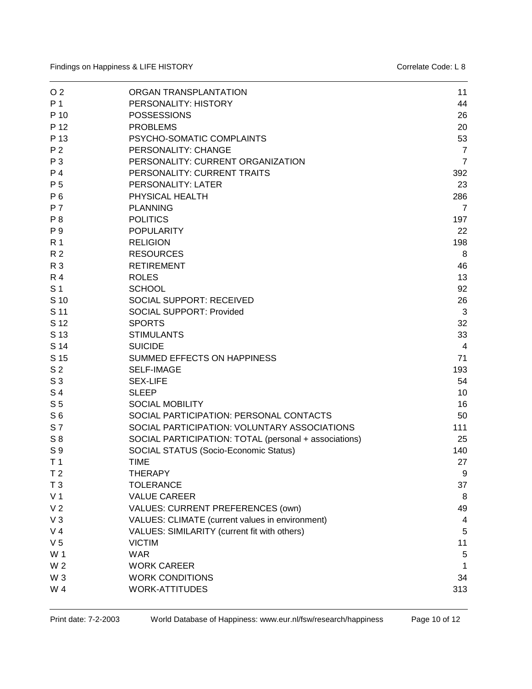| O <sub>2</sub> | ORGAN TRANSPLANTATION                                 | 11             |
|----------------|-------------------------------------------------------|----------------|
| P 1            | PERSONALITY: HISTORY                                  | 44             |
| P 10           | <b>POSSESSIONS</b>                                    | 26             |
| P 12           | <b>PROBLEMS</b>                                       | 20             |
| P 13           | PSYCHO-SOMATIC COMPLAINTS                             | 53             |
| P <sub>2</sub> | PERSONALITY: CHANGE                                   | $\overline{7}$ |
| P 3            | PERSONALITY: CURRENT ORGANIZATION                     | $\overline{7}$ |
| P <sub>4</sub> | PERSONALITY: CURRENT TRAITS                           | 392            |
| P 5            | <b>PERSONALITY: LATER</b>                             | 23             |
| P 6            | PHYSICAL HEALTH                                       | 286            |
| <b>P7</b>      | <b>PLANNING</b>                                       | $\overline{7}$ |
| $P_8$          | <b>POLITICS</b>                                       | 197            |
| P 9            | <b>POPULARITY</b>                                     | 22             |
| <b>R</b> 1     | <b>RELIGION</b>                                       | 198            |
| R <sub>2</sub> | <b>RESOURCES</b>                                      | 8              |
| R 3            | <b>RETIREMENT</b>                                     | 46             |
| <b>R4</b>      | <b>ROLES</b>                                          | 13             |
| S <sub>1</sub> | <b>SCHOOL</b>                                         | 92             |
| S 10           | <b>SOCIAL SUPPORT: RECEIVED</b>                       | 26             |
| S 11           | <b>SOCIAL SUPPORT: Provided</b>                       | 3              |
| S 12           | <b>SPORTS</b>                                         | 32             |
| S 13           | <b>STIMULANTS</b>                                     | 33             |
| S 14           | <b>SUICIDE</b>                                        | 4              |
| S 15           | SUMMED EFFECTS ON HAPPINESS                           | 71             |
| S <sub>2</sub> | <b>SELF-IMAGE</b>                                     | 193            |
| S <sub>3</sub> | <b>SEX-LIFE</b>                                       | 54             |
| S <sub>4</sub> | <b>SLEEP</b>                                          | 10             |
| S <sub>5</sub> | <b>SOCIAL MOBILITY</b>                                | 16             |
| S <sub>6</sub> | SOCIAL PARTICIPATION: PERSONAL CONTACTS               | 50             |
| <b>S7</b>      | SOCIAL PARTICIPATION: VOLUNTARY ASSOCIATIONS          | 111            |
| $S_8$          | SOCIAL PARTICIPATION: TOTAL (personal + associations) | 25             |
| S 9            | SOCIAL STATUS (Socio-Economic Status)                 | 140            |
| T <sub>1</sub> | <b>TIME</b>                                           | 27             |
| T <sub>2</sub> | <b>THERAPY</b>                                        | 9              |
| T <sub>3</sub> | <b>TOLERANCE</b>                                      | 37             |
| V <sub>1</sub> | <b>VALUE CAREER</b>                                   | 8              |
| V <sub>2</sub> | VALUES: CURRENT PREFERENCES (own)                     | 49             |
| $V_3$          | VALUES: CLIMATE (current values in environment)       | 4              |
| V <sub>4</sub> | VALUES: SIMILARITY (current fit with others)          | 5              |
| V <sub>5</sub> | <b>VICTIM</b>                                         | 11             |
| W 1            | <b>WAR</b>                                            | 5              |
| W 2            | <b>WORK CAREER</b>                                    | 1              |
| W <sub>3</sub> | <b>WORK CONDITIONS</b>                                | 34             |
| W 4            |                                                       |                |
|                | WORK-ATTITUDES                                        | 313            |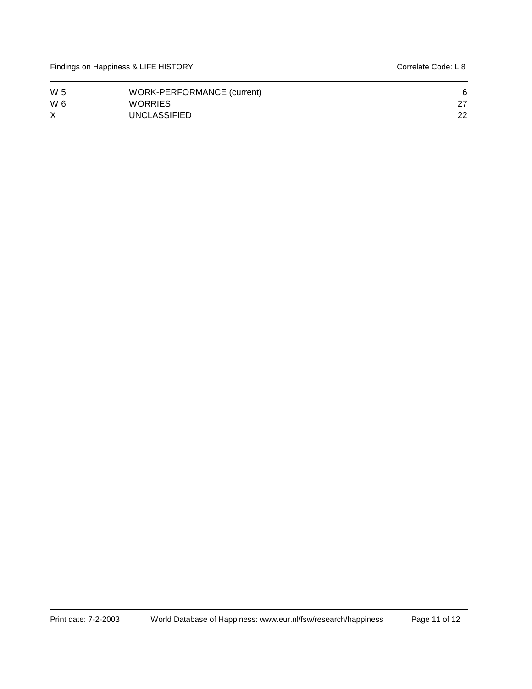| W 5 | WORK-PERFORMANCE (current) | 6  |
|-----|----------------------------|----|
| W 6 | <b>WORRIES</b>             |    |
|     | UNCLASSIFIED               | 22 |